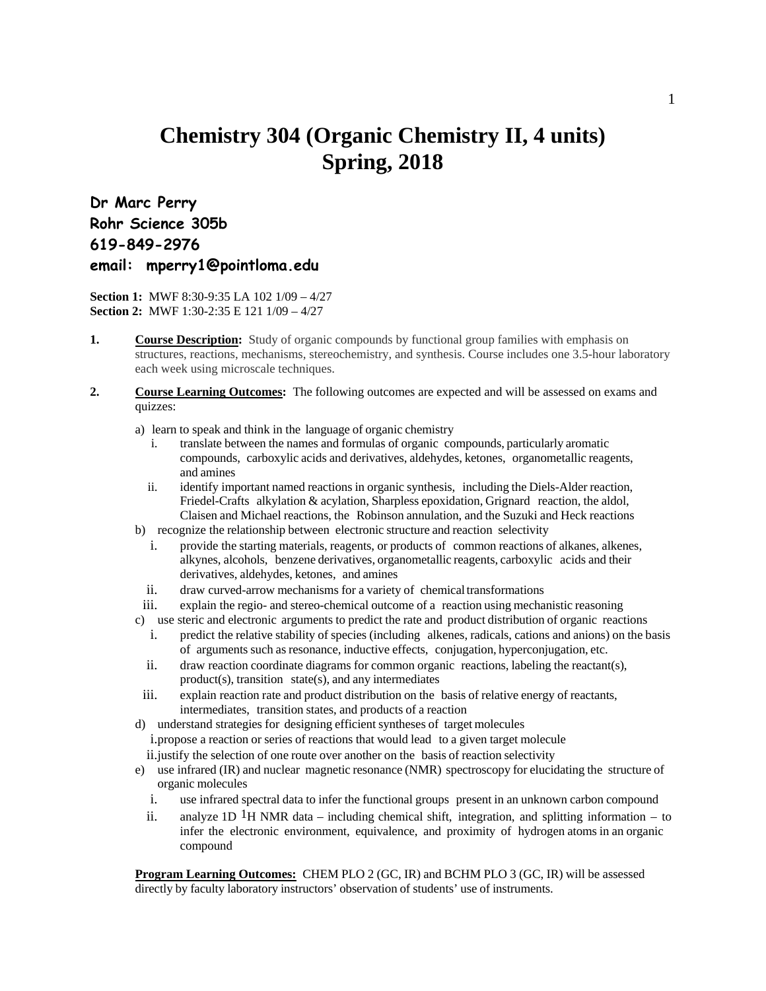## **Chemistry 304 (Organic Chemistry II, 4 units) Spring, 2018**

**Dr Marc Perry Rohr Science 305b 619-849-2976 email: mperry1@pointloma.edu** 

**Section 1:** MWF 8:30-9:35 LA 102 1/09 – 4/27 **Section 2:** MWF 1:30-2:35 E 121 1/09 – 4/27

- 1. **Course Description:** Study of organic compounds by functional group families with emphasis on structures, reactions, mechanisms, stereochemistry, and synthesis. Course includes one 3.5-hour laboratory each week using microscale techniques.
- **2. Course Learning Outcomes:** The following outcomes are expected and will be assessed on exams and quizzes:
	- a) learn to speak and think in the language of organic chemistry
		- i. translate between the names and formulas of organic compounds, particularly aromatic compounds, carboxylic acids and derivatives, aldehydes, ketones, organometallic reagents, and amines
		- ii. identify important named reactions in organic synthesis, including the Diels-Alder reaction, Friedel-Crafts alkylation & acylation, Sharpless epoxidation, Grignard reaction, the aldol, Claisen and Michael reactions, the Robinson annulation, and the Suzuki and Heck reactions
	- b) recognize the relationship between electronic structure and reaction selectivity
		- i. provide the starting materials, reagents, or products of common reactions of alkanes, alkenes, alkynes, alcohols, benzene derivatives, organometallic reagents, carboxylic acids and their derivatives, aldehydes, ketones, and amines
		- ii. draw curved-arrow mechanisms for a variety of chemical transformations
	- iii. explain the regio- and stereo-chemical outcome of a reaction using mechanistic reasoning
	- c) use steric and electronic arguments to predict the rate and product distribution of organic reactions
	- i. predict the relative stability of species (including alkenes, radicals, cations and anions) on the basis of arguments such as resonance, inductive effects, conjugation, hyperconjugation, etc.
	- ii. draw reaction coordinate diagrams for common organic reactions, labeling the reactant(s),  $product(s)$ , transition state(s), and any intermediates
	- iii. explain reaction rate and product distribution on the basis of relative energy of reactants, intermediates, transition states, and products of a reaction
	- d) understand strategies for designing efficient syntheses of target molecules
		- i.propose a reaction or series of reactions that would lead to a given target molecule
		- ii.justify the selection of one route over another on the basis of reaction selectivity
	- e) use infrared (IR) and nuclear magnetic resonance (NMR) spectroscopy for elucidating the structure of organic molecules
		- i. use infrared spectral data to infer the functional groups present in an unknown carbon compound
		- ii. analyze 1D <sup>1</sup>H NMR data including chemical shift, integration, and splitting information to infer the electronic environment, equivalence, and proximity of hydrogen atoms in an organic compound

**Program Learning Outcomes:** CHEM PLO 2 (GC, IR) and BCHM PLO 3 (GC, IR) will be assessed directly by faculty laboratory instructors' observation of students' use of instruments.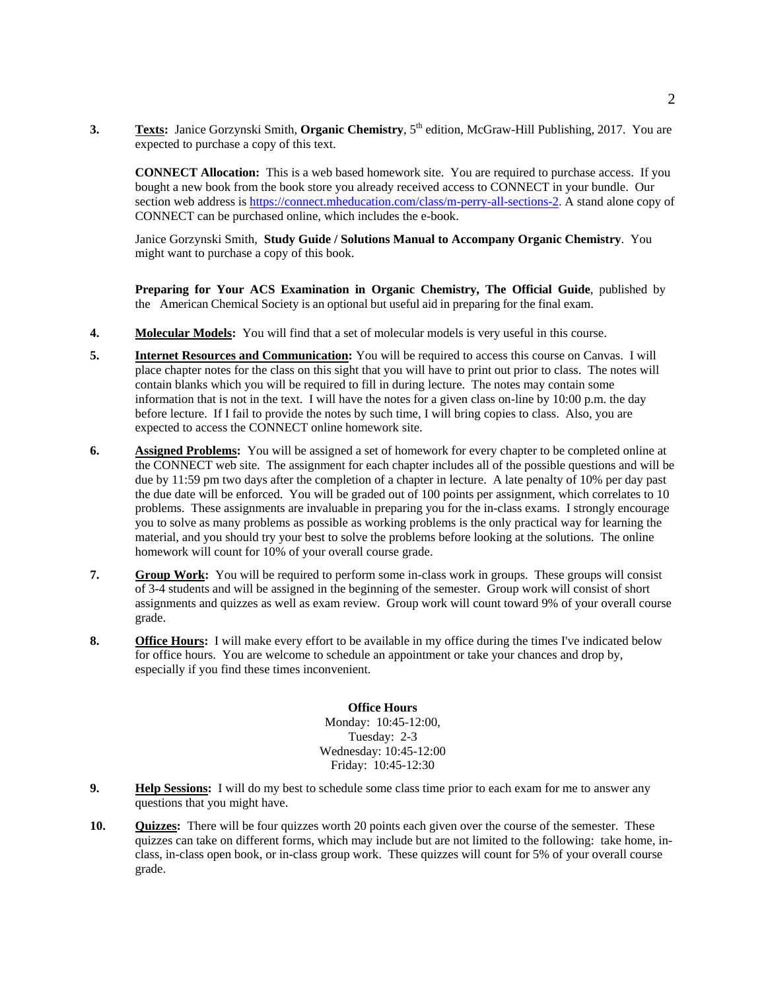**3. Texts:** Janice Gorzynski Smith, **Organic Chemistry**,  $5<sup>th</sup>$  edition, McGraw-Hill Publishing, 2017. You are expected to purchase a copy of this text.

**CONNECT Allocation:** This is a web based homework site. You are required to purchase access. If you bought a new book from the book store you already received access to CONNECT in your bundle. Our section web address is https://connect.mheducation.com/class/m-perry-all-sections-2. A stand alone copy of CONNECT can be purchased online, which includes the e-book.

Janice Gorzynski Smith, **Study Guide / Solutions Manual to Accompany Organic Chemistry**. You might want to purchase a copy of this book.

**Preparing for Your ACS Examination in Organic Chemistry, The Official Guide**, published by the American Chemical Society is an optional but useful aid in preparing for the final exam.

- **4. Molecular Models:** You will find that a set of molecular models is very useful in this course.
- **5. Internet Resources and Communication:** You will be required to access this course on Canvas. I will place chapter notes for the class on this sight that you will have to print out prior to class. The notes will contain blanks which you will be required to fill in during lecture. The notes may contain some information that is not in the text. I will have the notes for a given class on-line by 10:00 p.m. the day before lecture. If I fail to provide the notes by such time, I will bring copies to class. Also, you are expected to access the CONNECT online homework site.
- **6.** Assigned Problems: You will be assigned a set of homework for every chapter to be completed online at the CONNECT web site. The assignment for each chapter includes all of the possible questions and will be due by 11:59 pm two days after the completion of a chapter in lecture. A late penalty of 10% per day past the due date will be enforced. You will be graded out of 100 points per assignment, which correlates to 10 problems. These assignments are invaluable in preparing you for the in-class exams. I strongly encourage you to solve as many problems as possible as working problems is the only practical way for learning the material, and you should try your best to solve the problems before looking at the solutions. The online homework will count for 10% of your overall course grade.
- **7. Group Work:** You will be required to perform some in-class work in groups. These groups will consist of 3-4 students and will be assigned in the beginning of the semester. Group work will consist of short assignments and quizzes as well as exam review. Group work will count toward 9% of your overall course grade.
- **8. Office Hours:** I will make every effort to be available in my office during the times I've indicated below for office hours. You are welcome to schedule an appointment or take your chances and drop by, especially if you find these times inconvenient.

## **Office Hours**

Monday: 10:45-12:00, Tuesday: 2-3 Wednesday: 10:45-12:00 Friday: 10:45-12:30

- **9. Help Sessions:** I will do my best to schedule some class time prior to each exam for me to answer any questions that you might have.
- **10. Quizzes:** There will be four quizzes worth 20 points each given over the course of the semester. These quizzes can take on different forms, which may include but are not limited to the following: take home, inclass, in-class open book, or in-class group work. These quizzes will count for 5% of your overall course grade.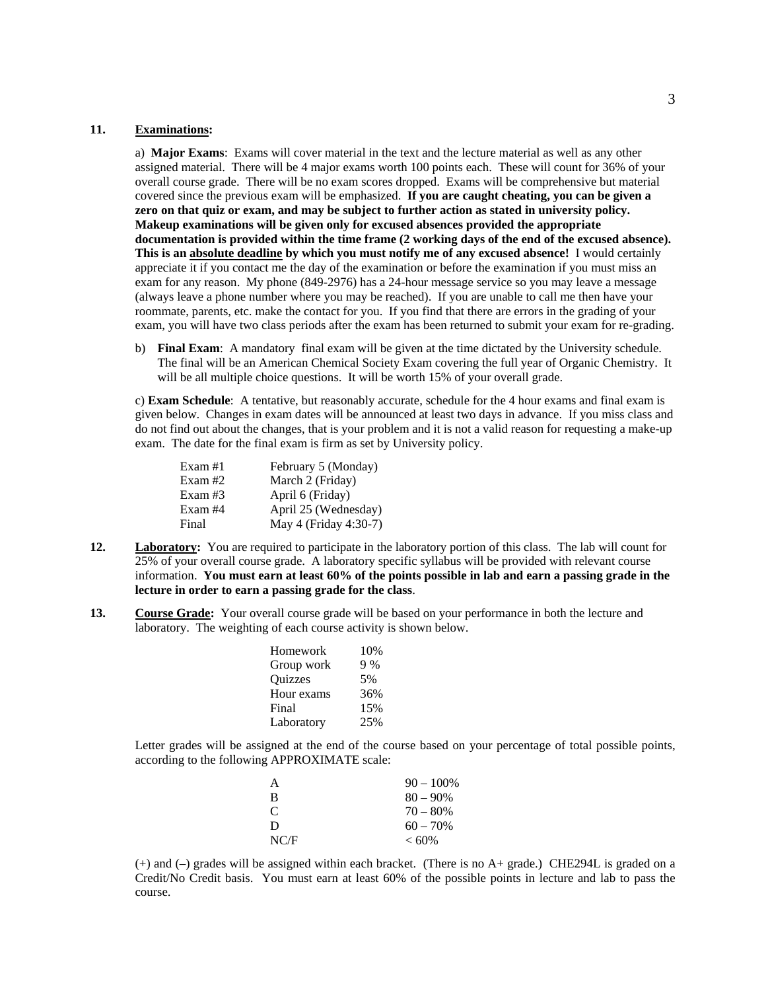## **11. Examinations:**

a) **Major Exams**: Exams will cover material in the text and the lecture material as well as any other assigned material. There will be 4 major exams worth 100 points each. These will count for 36% of your overall course grade. There will be no exam scores dropped. Exams will be comprehensive but material covered since the previous exam will be emphasized. **If you are caught cheating, you can be given a zero on that quiz or exam, and may be subject to further action as stated in university policy. Makeup examinations will be given only for excused absences provided the appropriate documentation is provided within the time frame (2 working days of the end of the excused absence). This is an absolute deadline by which you must notify me of any excused absence!** I would certainly appreciate it if you contact me the day of the examination or before the examination if you must miss an exam for any reason. My phone (849-2976) has a 24-hour message service so you may leave a message (always leave a phone number where you may be reached). If you are unable to call me then have your roommate, parents, etc. make the contact for you. If you find that there are errors in the grading of your exam, you will have two class periods after the exam has been returned to submit your exam for re-grading.

b) **Final Exam**: A mandatory final exam will be given at the time dictated by the University schedule. The final will be an American Chemical Society Exam covering the full year of Organic Chemistry. It will be all multiple choice questions. It will be worth 15% of your overall grade.

c) **Exam Schedule**: A tentative, but reasonably accurate, schedule for the 4 hour exams and final exam is given below. Changes in exam dates will be announced at least two days in advance. If you miss class and do not find out about the changes, that is your problem and it is not a valid reason for requesting a make-up exam. The date for the final exam is firm as set by University policy.

| Exam $#1$ | February 5 (Monday)   |
|-----------|-----------------------|
| Exam#2    | March 2 (Friday)      |
| Exam $#3$ | April 6 (Friday)      |
| Exam #4   | April 25 (Wednesday)  |
| Final     | May 4 (Friday 4:30-7) |

- **12.** Laboratory: You are required to participate in the laboratory portion of this class. The lab will count for 25% of your overall course grade. A laboratory specific syllabus will be provided with relevant course information. **You must earn at least 60% of the points possible in lab and earn a passing grade in the lecture in order to earn a passing grade for the class**.
- **13.** Course Grade: Your overall course grade will be based on your performance in both the lecture and laboratory. The weighting of each course activity is shown below.

| Homework       | 10% |
|----------------|-----|
| Group work     | 9%  |
| <b>Ouizzes</b> | 5%  |
| Hour exams     | 36% |
| Final          | 15% |
| Laboratory     | 25% |

Letter grades will be assigned at the end of the course based on your percentage of total possible points, according to the following APPROXIMATE scale:

| A    | $90 - 100\%$ |
|------|--------------|
| B    | $80 - 90\%$  |
| C    | $70 - 80%$   |
| D    | $60 - 70\%$  |
| NC/F | $< 60\%$     |

(+) and (–) grades will be assigned within each bracket. (There is no A+ grade.) CHE294L is graded on a Credit/No Credit basis. You must earn at least 60% of the possible points in lecture and lab to pass the course.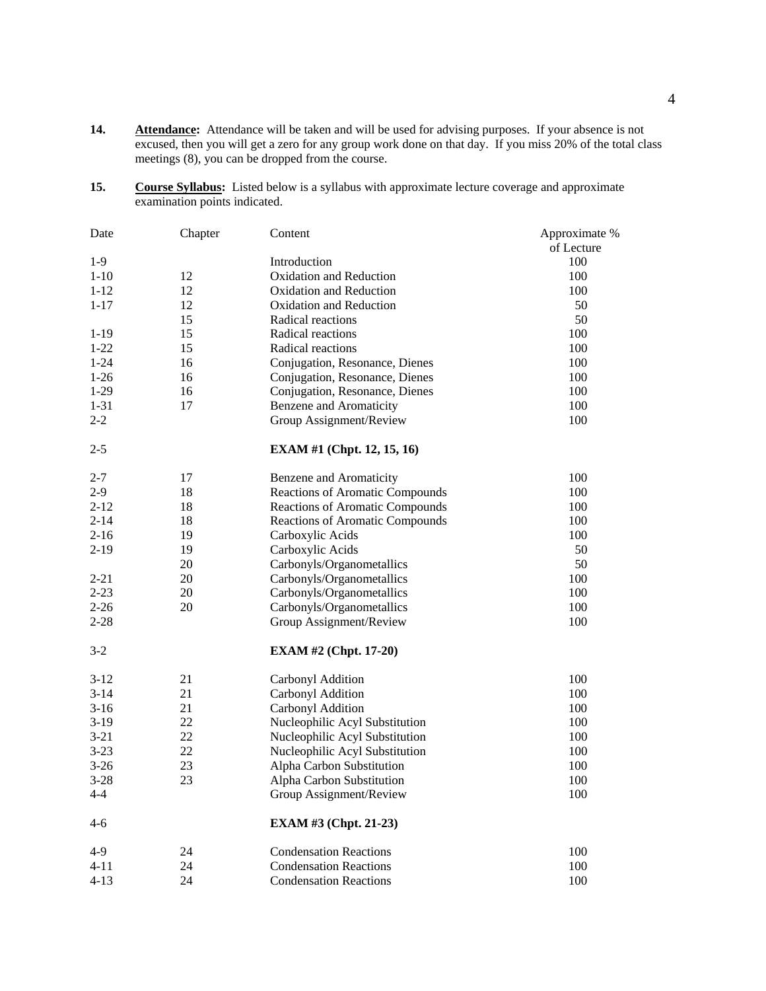- 14. **Attendance:** Attendance will be taken and will be used for advising purposes. If your absence is not excused, then you will get a zero for any group work done on that day. If you miss 20% of the total class meetings (8), you can be dropped from the course.
- 15. Course Syllabus: Listed below is a syllabus with approximate lecture coverage and approximate examination points indicated.

| Date     | Chapter | Content                           | Approximate % |
|----------|---------|-----------------------------------|---------------|
|          |         |                                   | of Lecture    |
| $1-9$    |         | Introduction                      | 100           |
| $1 - 10$ | 12      | Oxidation and Reduction           | 100           |
| $1 - 12$ | 12      | Oxidation and Reduction           | 100           |
| $1 - 17$ | 12      | Oxidation and Reduction           | 50            |
|          | 15      | Radical reactions                 | 50            |
| $1-19$   | 15      | Radical reactions                 | 100           |
| $1 - 22$ | 15      | Radical reactions                 | 100           |
| $1 - 24$ | 16      | Conjugation, Resonance, Dienes    | 100           |
| $1-26$   | 16      | Conjugation, Resonance, Dienes    | 100           |
| $1-29$   | 16      | Conjugation, Resonance, Dienes    | 100           |
| $1 - 31$ | 17      | Benzene and Aromaticity           | 100           |
| $2 - 2$  |         | Group Assignment/Review           | 100           |
| $2 - 5$  |         | <b>EXAM #1 (Chpt. 12, 15, 16)</b> |               |
| $2 - 7$  | 17      | Benzene and Aromaticity           | 100           |
| $2-9$    | 18      | Reactions of Aromatic Compounds   | 100           |
| $2 - 12$ | 18      | Reactions of Aromatic Compounds   | 100           |
| $2 - 14$ | 18      | Reactions of Aromatic Compounds   | 100           |
| $2 - 16$ | 19      | Carboxylic Acids                  | 100           |
| $2 - 19$ | 19      | Carboxylic Acids                  | 50            |
|          | 20      | Carbonyls/Organometallics         | 50            |
| $2 - 21$ | 20      | Carbonyls/Organometallics         | 100           |
| $2 - 23$ | 20      | Carbonyls/Organometallics         | 100           |
| $2 - 26$ | 20      | Carbonyls/Organometallics         | 100           |
| $2 - 28$ |         | Group Assignment/Review           | 100           |
| $3-2$    |         | <b>EXAM #2 (Chpt. 17-20)</b>      |               |
| $3-12$   | 21      | Carbonyl Addition                 | 100           |
| $3 - 14$ | 21      | Carbonyl Addition                 | 100           |
| $3-16$   | 21      | Carbonyl Addition                 | 100           |
| $3-19$   | 22      | Nucleophilic Acyl Substitution    | 100           |
| $3 - 21$ | 22      | Nucleophilic Acyl Substitution    | 100           |
| $3 - 23$ | 22      | Nucleophilic Acyl Substitution    | 100           |
| $3-26$   | 23      | Alpha Carbon Substitution         | 100           |
| $3-28$   | 23      | Alpha Carbon Substitution         | 100           |
| $4 - 4$  |         | Group Assignment/Review           | 100           |
| $4 - 6$  |         | <b>EXAM #3 (Chpt. 21-23)</b>      |               |
| $4-9$    | 24      | <b>Condensation Reactions</b>     | 100           |
| $4 - 11$ | 24      | <b>Condensation Reactions</b>     | 100           |
| $4 - 13$ | 24      | <b>Condensation Reactions</b>     | 100           |